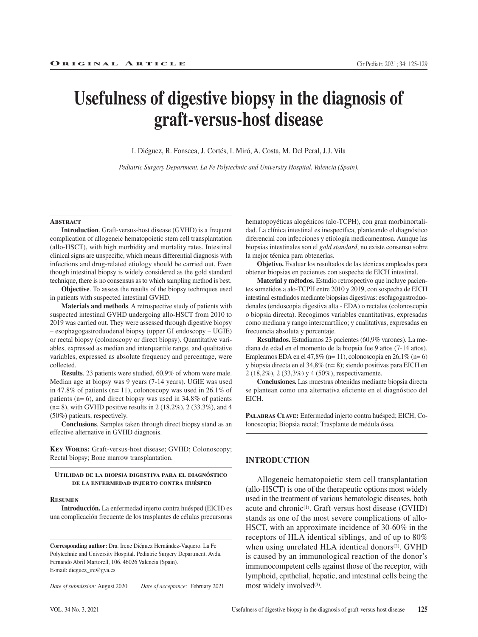# **Usefulness of digestive biopsy in the diagnosis of graft-versus-host disease**

I. Diéguez, R. Fonseca, J. Cortés, I. Miró, A. Costa, M. Del Peral, J.J. Vila

*Pediatric Surgery Department. La Fe Polytechnic and University Hospital. Valencia (Spain).* 

#### **Abstract**

**Introduction**. Graft-versus-host disease (GVHD) is a frequent complication of allogeneic hematopoietic stem cell transplantation (allo-HSCT), with high morbidity and mortality rates. Intestinal clinical signs are unspecific, which means differential diagnosis with infections and drug-related etiology should be carried out. Even though intestinal biopsy is widely considered as the gold standard technique, there is no consensus as to which sampling method is best.

**Objective**. To assess the results of the biopsy techniques used in patients with suspected intestinal GVHD.

**Materials and methods**. A retrospective study of patients with suspected intestinal GVHD undergoing allo-HSCT from 2010 to 2019 was carried out. They were assessed through digestive biopsy – esophagogastroduodenal biopsy (upper GI endoscopy – UGIE) or rectal biopsy (colonoscopy or direct biopsy). Quantitative variables, expressed as median and interquartile range, and qualitative variables, expressed as absolute frequency and percentage, were collected.

**Results**. 23 patients were studied, 60.9% of whom were male. Median age at biopsy was 9 years (7-14 years). UGIE was used in 47.8% of patients (n= 11), colonoscopy was used in 26.1% of patients (n= 6), and direct biopsy was used in 34.8% of patients  $(n= 8)$ , with GVHD positive results in 2 (18.2%), 2 (33.3%), and 4 (50%) patients, respectively.

**Conclusions**. Samples taken through direct biopsy stand as an effective alternative in GVHD diagnosis.

**KEY WORDS:** Graft-versus-host disease; GVHD; Colonoscopy; Rectal biopsy; Bone marrow transplantation.

#### **Utilidad de la biopsia digestiva para el diagnóstico de la enfermedad injerto contra huésped**

#### **Resumen**

**Introducción.** La enfermedad injerto contra huésped (EICH) es una complicación frecuente de los trasplantes de células precursoras

**Corresponding author:** Dra. Irene Diéguez Hernández-Vaquero. La Fe Polytechnic and University Hospital. Pediatric Surgery Department. Avda. Fernando Abril Martorell, 106. 46026 Valencia (Spain). E-mail: dieguez\_ire@gva.es

*Date of submission:* August 2020 *Date of acceptance:* February 2021

hematopoyéticas alogénicos (alo-TCPH), con gran morbimortalidad. La clínica intestinal es inespecífica, planteando el diagnóstico diferencial con infecciones y etiología medicamentosa. Aunque las biopsias intestinales son el *gold standard*, no existe consenso sobre la mejor técnica para obtenerlas.

**Objetivo.** Evaluar los resultados de las técnicas empleadas para obtener biopsias en pacientes con sospecha de EICH intestinal.

**Material y métodos.** Estudio retrospectivo que incluye pacientes sometidos a alo-TCPH entre 2010 y 2019, con sospecha de EICH intestinal estudiados mediante biopsias digestivas: esofagogastroduodenales (endoscopia digestiva alta - EDA) o rectales (colonoscopia o biopsia directa). Recogimos variables cuantitativas, expresadas como mediana y rango intercuartílico; y cualitativas, expresadas en frecuencia absoluta y porcentaje.

**Resultados.** Estudiamos 23 pacientes (60,9% varones). La mediana de edad en el momento de la biopsia fue 9 años (7-14 años). Empleamos EDA en el 47,8% (n= 11), colonoscopia en 26,1% (n= 6) y biopsia directa en el 34,8% (n= 8); siendo positivas para EICH en 2 (18,2%), 2 (33,3%) y 4 (50%), respectivamente.

**Conclusiones.** Las muestras obtenidas mediante biopsia directa se plantean como una alternativa eficiente en el diagnóstico del EICH.

**Palabras Clave:** Enfermedad injerto contra huésped; EICH; Colonoscopia; Biopsia rectal; Trasplante de médula ósea.

#### **INTRODUCTION**

Allogeneic hematopoietic stem cell transplantation (allo-HSCT) is one of the therapeutic options most widely used in the treatment of various hematologic diseases, both acute and chronic<sup>(1)</sup>. Graft-versus-host disease (GVHD) stands as one of the most severe complications of allo-HSCT, with an approximate incidence of 30-60% in the receptors of HLA identical siblings, and of up to 80% when using unrelated HLA identical donors<sup>(2)</sup>. GVHD is caused by an immunological reaction of the donor's immunocompetent cells against those of the receptor, with lymphoid, epithelial, hepatic, and intestinal cells being the most widely involved<sup>(3)</sup>.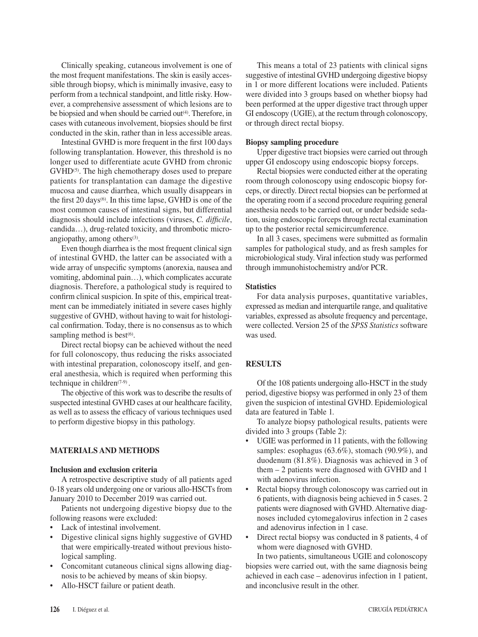Clinically speaking, cutaneous involvement is one of the most frequent manifestations. The skin is easily accessible through biopsy, which is minimally invasive, easy to perform from a technical standpoint, and little risky. However, a comprehensive assessment of which lesions are to be biopsied and when should be carried out<sup>(4)</sup>. Therefore, in cases with cutaneous involvement, biopsies should be first conducted in the skin, rather than in less accessible areas.

Intestinal GVHD is more frequent in the first 100 days following transplantation. However, this threshold is no longer used to differentiate acute GVHD from chronic GVHD<sup>(5)</sup>. The high chemotherapy doses used to prepare patients for transplantation can damage the digestive mucosa and cause diarrhea, which usually disappears in the first  $20 \text{ days}$ <sup>(6)</sup>. In this time lapse, GVHD is one of the most common causes of intestinal signs, but differential diagnosis should include infections (viruses, *C. difficile*, candida…), drug-related toxicity, and thrombotic microangiopathy, among others<sup>(3)</sup>.

Even though diarrhea is the most frequent clinical sign of intestinal GVHD, the latter can be associated with a wide array of unspecific symptoms (anorexia, nausea and vomiting, abdominal pain…), which complicates accurate diagnosis. Therefore, a pathological study is required to confirm clinical suspicion. In spite of this, empirical treatment can be immediately initiated in severe cases highly suggestive of GVHD, without having to wait for histological confirmation. Today, there is no consensus as to which sampling method is best $(6)$ .

Direct rectal biopsy can be achieved without the need for full colonoscopy, thus reducing the risks associated with intestinal preparation, colonoscopy itself, and general anesthesia, which is required when performing this technique in children $(7-9)$ .

The objective of this work was to describe the results of suspected intestinal GVHD cases at our healthcare facility, as well as to assess the efficacy of various techniques used to perform digestive biopsy in this pathology.

## **MATERIALS AND METHODS**

#### **Inclusion and exclusion criteria**

A retrospective descriptive study of all patients aged 0-18 years old undergoing one or various allo-HSCTs from January 2010 to December 2019 was carried out.

Patients not undergoing digestive biopsy due to the following reasons were excluded:

- Lack of intestinal involvement.
- Digestive clinical signs highly suggestive of GVHD that were empirically-treated without previous histological sampling.
- Concomitant cutaneous clinical signs allowing diagnosis to be achieved by means of skin biopsy.
- Allo-HSCT failure or patient death.

This means a total of 23 patients with clinical signs suggestive of intestinal GVHD undergoing digestive biopsy in 1 or more different locations were included. Patients were divided into 3 groups based on whether biopsy had been performed at the upper digestive tract through upper GI endoscopy (UGIE), at the rectum through colonoscopy, or through direct rectal biopsy.

## **Biopsy sampling procedure**

Upper digestive tract biopsies were carried out through upper GI endoscopy using endoscopic biopsy forceps.

Rectal biopsies were conducted either at the operating room through colonoscopy using endoscopic biopsy forceps, or directly. Direct rectal biopsies can be performed at the operating room if a second procedure requiring general anesthesia needs to be carried out, or under bedside sedation, using endoscopic forceps through rectal examination up to the posterior rectal semicircumference.

In all 3 cases, specimens were submitted as formalin samples for pathological study, and as fresh samples for microbiological study. Viral infection study was performed through immunohistochemistry and/or PCR.

## **Statistics**

For data analysis purposes, quantitative variables, expressed as median and interquartile range, and qualitative variables, expressed as absolute frequency and percentage, were collected. Version 25 of the *SPSS Statistics* software was used.

# **RESULTS**

Of the 108 patients undergoing allo-HSCT in the study period, digestive biopsy was performed in only 23 of them given the suspicion of intestinal GVHD. Epidemiological data are featured in Table 1*.*

To analyze biopsy pathological results, patients were divided into 3 groups (Table 2):

- UGIE was performed in 11 patients, with the following samples: esophagus (63.6%), stomach (90.9%), and duodenum (81.8%). Diagnosis was achieved in 3 of them – 2 patients were diagnosed with GVHD and 1 with adenovirus infection.
- Rectal biopsy through colonoscopy was carried out in 6 patients, with diagnosis being achieved in 5 cases. 2 patients were diagnosed with GVHD. Alternative diagnoses included cytomegalovirus infection in 2 cases and adenovirus infection in 1 case.
- Direct rectal biopsy was conducted in 8 patients, 4 of whom were diagnosed with GVHD.

In two patients, simultaneous UGIE and colonoscopy biopsies were carried out, with the same diagnosis being achieved in each case – adenovirus infection in 1 patient, and inconclusive result in the other.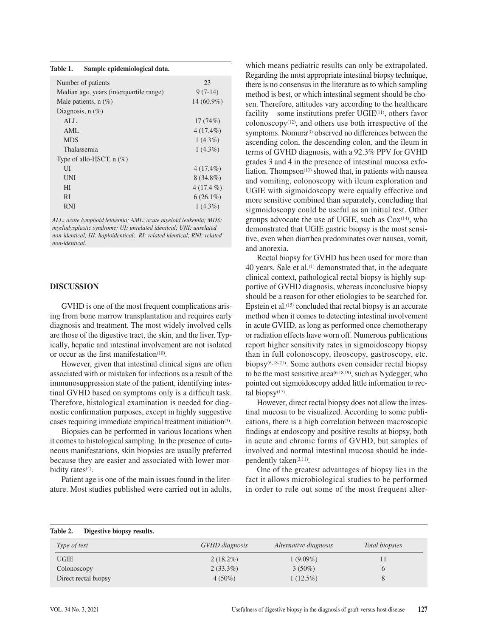| Table 1. | Sample epidemiological data. |  |
|----------|------------------------------|--|
|          |                              |  |

| Number of patients                      | 23           |
|-----------------------------------------|--------------|
| Median age, years (interquartile range) | $9(7-14)$    |
| Male patients, $n$ (%)                  | $14(60.9\%)$ |
| Diagnosis, $n(\%)$                      |              |
| ALL                                     | 17(74%)      |
| AML                                     | $4(17.4\%)$  |
| <b>MDS</b>                              | $1(4.3\%)$   |
| Thalassemia                             | $1(4.3\%)$   |
| Type of allo-HSCT, $n$ (%)              |              |
| UI                                      | $4(17.4\%)$  |
| <b>UNI</b>                              | $8(34.8\%)$  |
| HI                                      | $4(17.4\%)$  |
| <b>RI</b>                               | $6(26.1\%)$  |
| <b>RNI</b>                              | $1(4.3\%)$   |

*ALL: acute lymphoid leukemia; AML: acute myeloid leukemia; MDS: myelodysplastic syndrome; UI: unrelated identical; UNI: unrelated non-identical; HI: haploidentical; RI: related identical; RNI: related non-identical.* 

#### **DISCUSSION**

GVHD is one of the most frequent complications arising from bone marrow transplantation and requires early diagnosis and treatment. The most widely involved cells are those of the digestive tract, the skin, and the liver. Typically, hepatic and intestinal involvement are not isolated or occur as the first manifestation<sup>(10)</sup>.

However, given that intestinal clinical signs are often associated with or mistaken for infections as a result of the immunosuppression state of the patient, identifying intestinal GVHD based on symptoms only is a difficult task. Therefore, histological examination is needed for diagnostic confirmation purposes, except in highly suggestive cases requiring immediate empirical treatment initiation(3).

Biopsies can be performed in various locations when it comes to histological sampling. In the presence of cutaneous manifestations, skin biopsies are usually preferred because they are easier and associated with lower morbidity rates<sup>(4)</sup>.

Patient age is one of the main issues found in the literature. Most studies published were carried out in adults, which means pediatric results can only be extrapolated. Regarding the most appropriate intestinal biopsy technique, there is no consensus in the literature as to which sampling method is best, or which intestinal segment should be chosen. Therefore, attitudes vary according to the healthcare facility – some institutions prefer  $UGIE<sup>(11)</sup>$ , others favor  $colonoscopy<sup>(12)</sup>$ , and others use both irrespective of the symptoms. Nomura<sup>(3)</sup> observed no differences between the ascending colon, the descending colon, and the ileum in terms of GVHD diagnosis, with a 92.3% PPV for GVHD grades 3 and 4 in the presence of intestinal mucosa exfoliation. Thompson<sup> $(13)$ </sup> showed that, in patients with nausea and vomiting, colonoscopy with ileum exploration and UGIE with sigmoidoscopy were equally effective and more sensitive combined than separately, concluding that sigmoidoscopy could be useful as an initial test. Other groups advocate the use of UGIE, such as  $\text{Cox}^{(14)}$ , who demonstrated that UGIE gastric biopsy is the most sensitive, even when diarrhea predominates over nausea, vomit, and anorexia.

Rectal biopsy for GVHD has been used for more than 40 years. Sale et al.(1) demonstrated that, in the adequate clinical context, pathological rectal biopsy is highly supportive of GVHD diagnosis, whereas inconclusive biopsy should be a reason for other etiologies to be searched for. Epstein et al.<sup>(15)</sup> concluded that rectal biopsy is an accurate method when it comes to detecting intestinal involvement in acute GVHD, as long as performed once chemotherapy or radiation effects have worn off. Numerous publications report higher sensitivity rates in sigmoidoscopy biopsy than in full colonoscopy, ileoscopy, gastroscopy, etc. biopsy(6,18-21). Some authors even consider rectal biopsy to be the most sensitive area<sup>(6,18,19)</sup>, such as Nydegger, who pointed out sigmoidoscopy added little information to rectal biopsy<sup>(17)</sup>.

However, direct rectal biopsy does not allow the intestinal mucosa to be visualized. According to some publications, there is a high correlation between macroscopic findings at endoscopy and positive results at biopsy, both in acute and chronic forms of GVHD, but samples of involved and normal intestinal mucosa should be independently taken<sup>(3,11)</sup>.

One of the greatest advantages of biopsy lies in the fact it allows microbiological studies to be performed in order to rule out some of the most frequent alter-

| Table 2.<br>Digestive biopsy results. |                |                       |                |
|---------------------------------------|----------------|-----------------------|----------------|
| Type of test                          | GVHD diagnosis | Alternative diagnosis | Total biopsies |
| <b>UGIE</b>                           | $2(18.2\%)$    | $1(9.09\%)$           |                |
| Colonoscopy                           | $2(33.3\%)$    | $3(50\%)$             | $\theta$       |
| Direct rectal biopsy                  | $4(50\%)$      | $1(12.5\%)$           | 8              |

| Table 2. | Digestive biopsy results |  |  |  |
|----------|--------------------------|--|--|--|
|----------|--------------------------|--|--|--|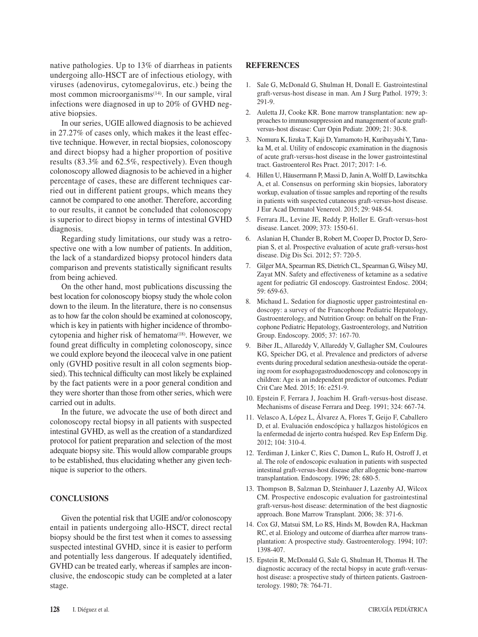native pathologies. Up to 13% of diarrheas in patients undergoing allo-HSCT are of infectious etiology, with viruses (adenovirus, cytomegalovirus, etc.) being the most common microorganisms<sup>(14)</sup>. In our sample, viral infections were diagnosed in up to 20% of GVHD negative biopsies.

In our series, UGIE allowed diagnosis to be achieved in 27.27% of cases only, which makes it the least effective technique. However, in rectal biopsies, colonoscopy and direct biopsy had a higher proportion of positive results (83.3% and 62.5%, respectively). Even though colonoscopy allowed diagnosis to be achieved in a higher percentage of cases, these are different techniques carried out in different patient groups, which means they cannot be compared to one another. Therefore, according to our results, it cannot be concluded that colonoscopy is superior to direct biopsy in terms of intestinal GVHD diagnosis.

Regarding study limitations, our study was a retrospective one with a low number of patients. In addition, the lack of a standardized biopsy protocol hinders data comparison and prevents statistically significant results from being achieved.

On the other hand, most publications discussing the best location for colonoscopy biopsy study the whole colon down to the ileum. In the literature, there is no consensus as to how far the colon should be examined at colonoscopy, which is key in patients with higher incidence of thrombocytopenia and higher risk of hematoma<sup>(18)</sup>. However, we found great difficulty in completing colonoscopy, since we could explore beyond the ileocecal valve in one patient only (GVHD positive result in all colon segments biopsied). This technical difficulty can most likely be explained by the fact patients were in a poor general condition and they were shorter than those from other series, which were carried out in adults.

In the future, we advocate the use of both direct and colonoscopy rectal biopsy in all patients with suspected intestinal GVHD, as well as the creation of a standardized protocol for patient preparation and selection of the most adequate biopsy site. This would allow comparable groups to be established, thus elucidating whether any given technique is superior to the others.

# **CONCLUSIONS**

Given the potential risk that UGIE and/or colonoscopy entail in patients undergoing allo-HSCT, direct rectal biopsy should be the first test when it comes to assessing suspected intestinal GVHD, since it is easier to perform and potentially less dangerous. If adequately identified, GVHD can be treated early, whereas if samples are inconclusive, the endoscopic study can be completed at a later stage.

## **REFERENCES**

- 1. Sale G, McDonald G, Shulman H, Donall E. Gastrointestinal graft-versus-host disease in man. Am J Surg Pathol. 1979; 3: 291-9.
- 2. Auletta JJ, Cooke KR. Bone marrow transplantation: new approaches to immunosuppression and management of acute graftversus-host disease: Curr Opin Pediatr. 2009; 21: 30-8.
- 3. Nomura K, Iizuka T, Kaji D, Yamamoto H, Kuribayashi Y, Tanaka M, et al. Utility of endoscopic examination in the diagnosis of acute graft-versus-host disease in the lower gastrointestinal tract. Gastroenterol Res Pract. 2017; 2017: 1-6.
- 4. Hillen U, Häusermann P, Massi D, Janin A, Wolff D, Lawitschka A, et al. Consensus on performing skin biopsies, laboratory workup, evaluation of tissue samples and reporting of the results in patients with suspected cutaneous graft-versus-host disease. J Eur Acad Dermatol Venereol. 2015; 29: 948-54.
- 5. Ferrara JL, Levine JE, Reddy P, Holler E. Graft-versus-host disease. Lancet. 2009; 373: 1550-61.
- 6. Aslanian H, Chander B, Robert M, Cooper D, Proctor D, Seropian S, et al. Prospective evaluation of acute graft-versus-host disease. Dig Dis Sci. 2012; 57: 720-5.
- 7. Gilger MA, Spearman RS, Dietrich CL, Spearman G, Wilsey MJ, Zayat MN. Safety and effectiveness of ketamine as a sedative agent for pediatric GI endoscopy. Gastrointest Endosc. 2004; 59: 659-63.
- 8. Michaud L. Sedation for diagnostic upper gastrointestinal endoscopy: a survey of the Francophone Pediatric Hepatology, Gastroenterology, and Nutrition Group: on behalf on the Francophone Pediatric Hepatology, Gastroenterology, and Nutrition Group. Endoscopy. 2005; 37: 167-70.
- 9. Biber JL, Allareddy V, Allareddy V, Gallagher SM, Couloures KG, Speicher DG, et al. Prevalence and predictors of adverse events during procedural sedation anesthesia-outside the operating room for esophagogastroduodenoscopy and colonoscopy in children: Age is an independent predictor of outcomes. Pediatr Crit Care Med. 2015; 16: e251-9.
- 10. Epstein F, Ferrara J, Joachim H. Graft-versus-host disease. Mechanisms of disease Ferrara and Deeg. 1991; 324: 667-74.
- 11. Velasco A, López L, Álvarez A, Flores T, Geijo F, Caballero D, et al. Evaluación endoscópica y hallazgos histológicos en la enfermedad de injerto contra huésped. Rev Esp Enferm Dig. 2012; 104: 310-4.
- 12. Terdiman J, Linker C, Ries C, Damon L, Rufo H, Ostroff J, et al. The role of endoscopic evaluation in patients with suspected intestinal graft-versus-host disease after allogenic bone-marrow transplantation. Endoscopy. 1996; 28: 680-5.
- 13. Thompson B, Salzman D, Steinhauer J, Lazenby AJ, Wilcox CM. Prospective endoscopic evaluation for gastrointestinal graft-versus-host disease: determination of the best diagnostic approach. Bone Marrow Transplant. 2006; 38: 371-6.
- 14. Cox GJ, Matsui SM, Lo RS, Hinds M, Bowden RA, Hackman RC, et al. Etiology and outcome of diarrhea after marrow transplantation: A prospective study. Gastroenterology. 1994; 107: 1398-407.
- 15. Epstein R, McDonald G, Sale G, Shulman H, Thomas H. The diagnostic accuracy of the rectal biopsy in acute graft-versushost disease: a prospective study of thirteen patients. Gastroenterology. 1980; 78: 764-71.